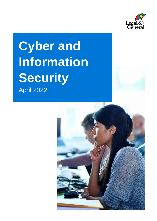

# **Cyber and Information Security** April 2022

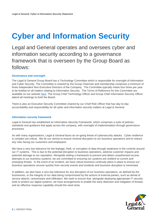# **Cyber and Information Security**

Legal and General operates and oversees cyber and information security according to a governance framework that is overseen by the Group Board as follows:

# **Governance and oversight**

The Legal & General Group Board has a Technology Committee which is responsible for oversight of Information and Cyber Security. The Committee is chaired by the Group Chairman and membership comprises a minimum of three independent Non-Executive Directors of the Company. The Committee typically meets four times per year to be briefed on all matters relating to Information Security. The Terms of Reference for this Committee are available on our website [here.](https://group.legalandgeneral.com/media/wrahagmy/group-technology-committee-terms-of-reference-approved-16-12-2021.pdf) The Group Chief Technology Officer and Group Chief Information Security Officer attend all meetings to brief the Board.

There is also an Executive Security Committee chaired by our Chief Risk Officer that has day-to-day accountability and responsibility for all cyber and information security matters at Legal & General.

## **Information security framework**

Legal & General has established an Information Security Framework, which comprises a suite of policies, standards and guidance that apply across the company, with oversight of implementation through governance processes.

As with many organisations, Legal & General faces an on-going threat of cybersecurity attacks. Cyber resilience is complex yet critical. We do our utmost to ensure minimal disruption to our business operations and to reduce any risks facing our customers and employees.

We have a very low tolerance for the leakage, theft, or corruption of data through weakness in the controls around our IT systems. This is due to the potential disruption to business operations, adverse customer impacts and potential damage to our reputation. Alongside setting a framework to prevent and detect unauthorised access attempts to our business systems, we are committed to ensuring our systems are resilient to current and emerging threats. In the event of an incident, we have robust business continuity plans in place to ensure our business operations recover quickly from security events and incidents and business disruption is minimised.

In addition, we also have a very low tolerance for any disruption of our business operations, as defined by the businesses, or the integrity of our data being compromised by the actions of external parties, such as denial of service attacks, ransomware and infiltration. We seek to ensure that, alongside deploying appropriate IT security tools to protect our digital systems, we have arrangements to enable the early detection and mitigation of threats, and an effective response capability should the need arise.